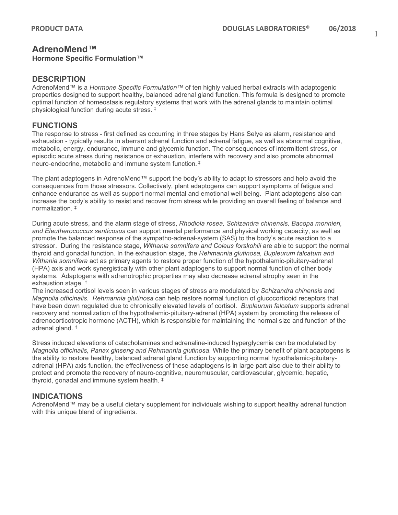# **AdrenoMend™**

#### **Hormone Specific Formulation™**

#### **DESCRIPTION**

AdrenoMend™ is a *Hormone Specific Formulation™* of ten highly valued herbal extracts with adaptogenic properties designed to support healthy, balanced adrenal gland function. This formula is designed to promote optimal function of homeostasis regulatory systems that work with the adrenal glands to maintain optimal physiological function during acute stress. ‡

## **FUNCTIONS**

The response to stress - first defined as occurring in three stages by Hans Selye as alarm, resistance and exhaustion - typically results in aberrant adrenal function and adrenal fatigue, as well as abnormal cognitive, metabolic, energy, endurance, immune and glycemic function. The consequences of intermittent stress, or episodic acute stress during resistance or exhaustion, interfere with recovery and also promote abnormal neuro-endocrine, metabolic and immune system function. ‡

The plant adaptogens in AdrenoMend™ support the body's ability to adapt to stressors and help avoid the consequences from those stressors. Collectively, plant adaptogens can support symptoms of fatigue and enhance endurance as well as support normal mental and emotional well being. Plant adaptogens also can increase the body's ability to resist and recover from stress while providing an overall feeling of balance and normalization. ‡

During acute stress, and the alarm stage of stress, *Rhodiola rosea, Schizandra chinensis, Bacopa monnieri, and Eleutherococcus senticosus* can support mental performance and physical working capacity, as well as promote the balanced response of the sympatho-adrenal-system (SAS) to the body's acute reaction to a stressor. During the resistance stage, *Withania somnifera and Coleus forskohlii* are able to support the normal thyroid and gonadal function. In the exhaustion stage, the *Rehmannia glutinosa, Bupleurum falcatum and Withania somnifera* act as primary agents to restore proper function of the hypothalamic-pituitary-adrenal (HPA) axis and work synergistically with other plant adaptogens to support normal function of other body systems. Adaptogens with adrenotrophic properties may also decrease adrenal atrophy seen in the exhaustion stage. ‡

The increased cortisol levels seen in various stages of stress are modulated by *Schizandra chinensis* and *Magnolia officinalis*. *Rehmannia glutinosa* can help restore normal function of glucocorticoid receptors that have been down regulated due to chronically elevated levels of cortisol. *Bupleurum falcatum* supports adrenal recovery and normalization of the hypothalamic-pituitary-adrenal (HPA) system by promoting the release of adrenocorticotropic hormone (ACTH), which is responsible for maintaining the normal size and function of the adrenal gland. ‡

Stress induced elevations of catecholamines and adrenaline-induced hyperglycemia can be modulated by *Magnolia officinalis, Panax ginseng and Rehmannia glutinosa*. While the primary benefit of plant adaptogens is the ability to restore healthy, balanced adrenal gland function by supporting normal hypothalamic-pituitaryadrenal (HPA) axis function, the effectiveness of these adaptogens is in large part also due to their ability to protect and promote the recovery of neuro-cognitive, neuromuscular, cardiovascular, glycemic, hepatic, thyroid, gonadal and immune system health. ‡

## **INDICATIONS**

AdrenoMend™ may be a useful dietary supplement for individuals wishing to support healthy adrenal function with this unique blend of ingredients.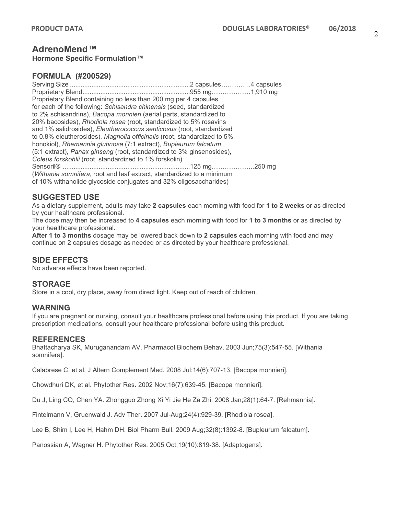## **AdrenoMend™**

**Hormone Specific Formulation™**

## **FORMULA (#200529)**

Serving Size ...................................................................2 capsules…………..4 capsules Proprietary Blend............................................................955 mg………………1,910 mg Proprietary Blend containing no less than 200 mg per 4 capsules for each of the following: *Schisandra chinensis* (seed, standardized to 2% schisandrins), *Bacopa monnieri* (aerial parts, standardized to 20% bacosides), *Rhodiola rosea* (root, standardized to 5% rosavins and 1% salidrosides), *Eleutherococcus senticosus* (root, standardized to 0.8% eleutherosides), *Magnolia officinalis* (root, standardized to 5% honokiol), *Rhemannia glutinosa* (7:1 extract), *Bupleurum falcatum*  (5:1 extract), *Panax ginseng* (root, standardized to 3% ginsenosides), *Coleus forskohlii* (root, standardized to 1% forskolin) Sensoril® .......................................................................125 mg………………..250 mg (*Withania somnifera*, root and leaf extract, standardized to a minimum of 10% withanolide glycoside conjugates and 32% oligosaccharides)

## **SUGGESTED USE**

As a dietary supplement, adults may take **2 capsules** each morning with food for **1 to 2 weeks** or as directed by your healthcare professional.

The dose may then be increased to **4 capsules** each morning with food for **1 to 3 months** or as directed by your healthcare professional.

**After 1 to 3 months** dosage may be lowered back down to **2 capsules** each morning with food and may continue on 2 capsules dosage as needed or as directed by your healthcare professional.

## **SIDE EFFECTS**

No adverse effects have been reported.

## **STORAGE**

Store in a cool, dry place, away from direct light. Keep out of reach of children.

## **WARNING**

If you are pregnant or nursing, consult your healthcare professional before using this product. If you are taking prescription medications, consult your healthcare professional before using this product.

## **REFERENCES**

Bhattacharya SK, Muruganandam AV. Pharmacol Biochem Behav. 2003 Jun;75(3):547-55. [Withania somnifera].

Calabrese C, et al. J Altern Complement Med. 2008 Jul;14(6):707-13. [Bacopa monnieri].

Chowdhuri DK, et al. Phytother Res. 2002 Nov;16(7):639-45. [Bacopa monnieri].

Du J, Ling CQ, Chen YA. Zhongguo Zhong Xi Yi Jie He Za Zhi. 2008 Jan;28(1):64-7. [Rehmannia].

Fintelmann V, Gruenwald J. Adv Ther. 2007 Jul-Aug;24(4):929-39. [Rhodiola rosea].

Lee B, Shim I, Lee H, Hahm DH. Biol Pharm Bull. 2009 Aug;32(8):1392-8. [Bupleurum falcatum].

Panossian A, Wagner H. Phytother Res. 2005 Oct;19(10):819-38. [Adaptogens].